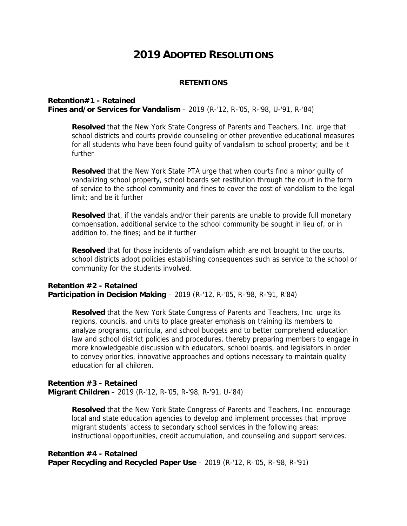# **2019 ADOPTED RESOLUTIONS**

#### **RETENTIONS**

#### **Retention#1 - Retained**

**Fines and/or Services for Vandalism** – 2019 (R-'12, R-'05, R-'98, U-'91, R-'84)

**Resolved** that the New York State Congress of Parents and Teachers, Inc. urge that school districts and courts provide counseling or other preventive educational measures for all students who have been found guilty of vandalism to school property; and be it further

**Resolved** that the New York State PTA urge that when courts find a minor guilty of vandalizing school property, school boards set restitution through the court in the form of service to the school community and fines to cover the cost of vandalism to the legal limit; and be it further

**Resolved** that, if the vandals and/or their parents are unable to provide full monetary compensation, additional service to the school community be sought in lieu of, or in addition to, the fines; and be it further

**Resolved** that for those incidents of vandalism which are not brought to the courts, school districts adopt policies establishing consequences such as service to the school or community for the students involved.

## **Retention #2 - Retained Participation in Decision Making - 2019 (R-'12, R-'05, R-'98, R-'91, R'84)**

**Resolved** that the New York State Congress of Parents and Teachers, Inc. urge its regions, councils, and units to place greater emphasis on training its members to analyze programs, curricula, and school budgets and to better comprehend education law and school district policies and procedures, thereby preparing members to engage in more knowledgeable discussion with educators, school boards, and legislators in order to convey priorities, innovative approaches and options necessary to maintain quality education for all children.

## **Retention #3 - Retained Migrant Children** – 2019 (R-'12, R-'05, R-'98, R-'91, U-'84)

**Resolved** that the New York State Congress of Parents and Teachers, Inc. encourage local and state education agencies to develop and implement processes that improve migrant students' access to secondary school services in the following areas: instructional opportunities, credit accumulation, and counseling and support services.

# **Retention #4 - Retained**

**Paper Recycling and Recycled Paper Use** – 2019 (R-'12, R-'05, R-'98, R-'91)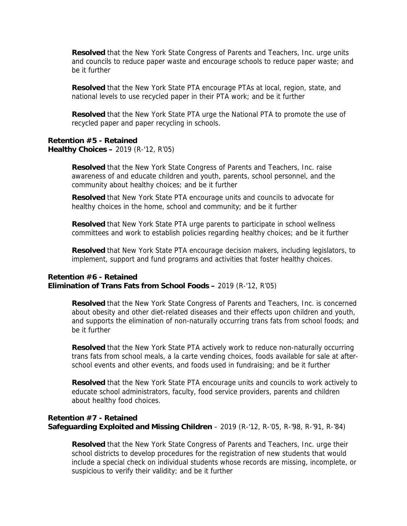**Resolved** that the New York State Congress of Parents and Teachers, Inc. urge units and councils to reduce paper waste and encourage schools to reduce paper waste; and be it further

**Resolved** that the New York State PTA encourage PTAs at local, region, state, and national levels to use recycled paper in their PTA work; and be it further

**Resolved** that the New York State PTA urge the National PTA to promote the use of recycled paper and paper recycling in schools.

#### **Retention #5 - Retained Healthy Choices –** 2019 (R-'12, R'05)

**Resolved** that the New York State Congress of Parents and Teachers, Inc. raise awareness of and educate children and youth, parents, school personnel, and the community about healthy choices; and be it further

**Resolved** that New York State PTA encourage units and councils to advocate for healthy choices in the home, school and community; and be it further

**Resolved** that New York State PTA urge parents to participate in school wellness committees and work to establish policies regarding healthy choices; and be it further

**Resolved** that New York State PTA encourage decision makers, including legislators, to implement, support and fund programs and activities that foster healthy choices.

## **Retention #6 - Retained Elimination of Trans Fats from School Foods –** 2019 (R-'12, R'05)

**Resolved** that the New York State Congress of Parents and Teachers, Inc. is concerned about obesity and other diet-related diseases and their effects upon children and youth, and supports the elimination of non-naturally occurring trans fats from school foods; and be it further

**Resolved** that the New York State PTA actively work to reduce non-naturally occurring trans fats from school meals, a la carte vending choices, foods available for sale at afterschool events and other events, and foods used in fundraising; and be it further

**Resolved** that the New York State PTA encourage units and councils to work actively to educate school administrators, faculty, food service providers, parents and children about healthy food choices.

## **Retention #7 - Retained Safeguarding Exploited and Missing Children** – 2019 (R-'12, R-'05, R-'98, R-'91, R-'84)

**Resolved** that the New York State Congress of Parents and Teachers, Inc. urge their school districts to develop procedures for the registration of new students that would include a special check on individual students whose records are missing, incomplete, or suspicious to verify their validity; and be it further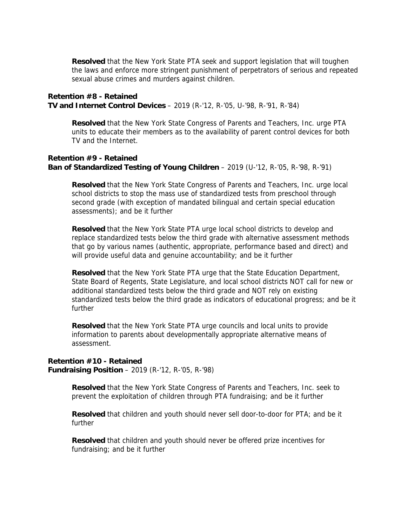**Resolved** that the New York State PTA seek and support legislation that will toughen the laws and enforce more stringent punishment of perpetrators of serious and repeated sexual abuse crimes and murders against children.

## **Retention #8 - Retained TV and Internet Control Devices** – 2019 (R-'12, R-'05, U-'98, R-'91, R-'84)

**Resolved** that the New York State Congress of Parents and Teachers, Inc. urge PTA units to educate their members as to the availability of parent control devices for both TV and the Internet.

## **Retention #9 - Retained Ban of Standardized Testing of Young Children** – 2019 (U-'12, R-'05, R-'98, R-'91)

**Resolved** that the New York State Congress of Parents and Teachers, Inc. urge local school districts to stop the mass use of standardized tests from preschool through second grade (with exception of mandated bilingual and certain special education assessments); and be it further

**Resolved** that the New York State PTA urge local school districts to develop and replace standardized tests below the third grade with alternative assessment methods that go by various names (authentic, appropriate, performance based and direct) and will provide useful data and genuine accountability; and be it further

**Resolved** that the New York State PTA urge that the State Education Department, State Board of Regents, State Legislature, and local school districts NOT call for new or additional standardized tests below the third grade and NOT rely on existing standardized tests below the third grade as indicators of educational progress; and be it further

**Resolved** that the New York State PTA urge councils and local units to provide information to parents about developmentally appropriate alternative means of assessment.

**Retention #10 - Retained Fundraising Position** – 2019 (R-'12, R-'05, R-'98)

> **Resolved** that the New York State Congress of Parents and Teachers, Inc. seek to prevent the exploitation of children through PTA fundraising; and be it further

> **Resolved** that children and youth should never sell door-to-door for PTA; and be it further

**Resolved** that children and youth should never be offered prize incentives for fundraising; and be it further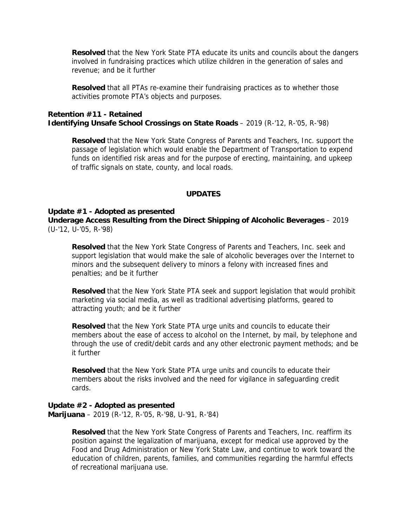**Resolved** that the New York State PTA educate its units and councils about the dangers involved in fundraising practices which utilize children in the generation of sales and revenue; and be it further

**Resolved** that all PTAs re-examine their fundraising practices as to whether those activities promote PTA's objects and purposes.

## **Retention #11 - Retained Identifying Unsafe School Crossings on State Roads** – 2019 (R-'12, R-'05, R-'98)

**Resolved** that the New York State Congress of Parents and Teachers, Inc. support the passage of legislation which would enable the Department of Transportation to expend funds on identified risk areas and for the purpose of erecting, maintaining, and upkeep of traffic signals on state, county, and local roads.

## **UPDATES**

#### **Update #1 - Adopted as presented**

**Underage Access Resulting from the Direct Shipping of Alcoholic Beverages** – 2019 (U-'12, U-'05, R-'98)

**Resolved** that the New York State Congress of Parents and Teachers, Inc. seek and support legislation that would make the sale of alcoholic beverages over the Internet to minors and the subsequent delivery to minors a felony with increased fines and penalties; and be it further

**Resolved** that the New York State PTA seek and support legislation that would prohibit marketing via social media, as well as traditional advertising platforms, geared to attracting youth; and be it further

**Resolved** that the New York State PTA urge units and councils to educate their members about the ease of access to alcohol on the Internet, by mail, by telephone and through the use of credit/debit cards and any other electronic payment methods; and be it further

**Resolved** that the New York State PTA urge units and councils to educate their members about the risks involved and the need for vigilance in safeguarding credit cards.

## **Update #2 - Adopted as presented**

**Marijuana** – 2019 (R-'12, R-'05, R-'98, U-'91, R-'84)

**Resolved** that the New York State Congress of Parents and Teachers, Inc. reaffirm its position against the legalization of marijuana, except for medical use approved by the Food and Drug Administration or New York State Law, and continue to work toward the education of children, parents, families, and communities regarding the harmful effects of recreational marijuana use.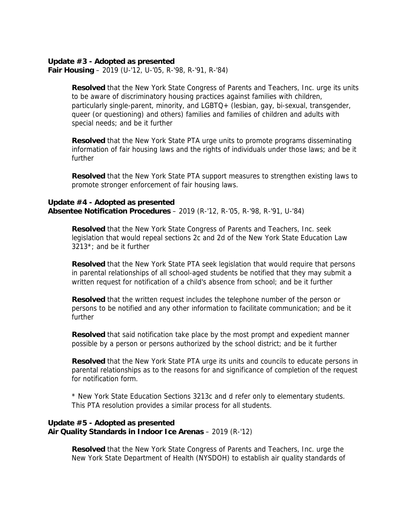#### **Update #3 - Adopted as presented**

**Fair Housing** – 2019 (U-'12, U-'05, R-'98, R-'91, R-'84)

**Resolved** that the New York State Congress of Parents and Teachers, Inc. urge its units to be aware of discriminatory housing practices against families with children, particularly single-parent, minority, and LGBTQ+ (lesbian, gay, bi-sexual, transgender, queer (or questioning) and others) families and families of children and adults with special needs; and be it further

**Resolved** that the New York State PTA urge units to promote programs disseminating information of fair housing laws and the rights of individuals under those laws; and be it further

**Resolved** that the New York State PTA support measures to strengthen existing laws to promote stronger enforcement of fair housing laws.

## **Update #4 - Adopted as presented Absentee Notification Procedures** – 2019 (R-'12, R-'05, R-'98, R-'91, U-'84)

**Resolved** that the New York State Congress of Parents and Teachers, Inc. seek legislation that would repeal sections 2c and 2d of the New York State Education Law 3213\*; and be it further

**Resolved** that the New York State PTA seek legislation that would require that persons in parental relationships of all school-aged students be notified that they may submit a written request for notification of a child's absence from school; and be it further

**Resolved** that the written request includes the telephone number of the person or persons to be notified and any other information to facilitate communication; and be it further

**Resolved** that said notification take place by the most prompt and expedient manner possible by a person or persons authorized by the school district; and be it further

**Resolved** that the New York State PTA urge its units and councils to educate persons in parental relationships as to the reasons for and significance of completion of the request for notification form.

\* New York State Education Sections 3213c and d refer only to elementary students. This PTA resolution provides a similar process for all students.

## **Update #5 - Adopted as presented Air Quality Standards in Indoor Ice Arenas** – 2019 (R-'12)

**Resolved** that the New York State Congress of Parents and Teachers, Inc. urge the New York State Department of Health (NYSDOH) to establish air quality standards of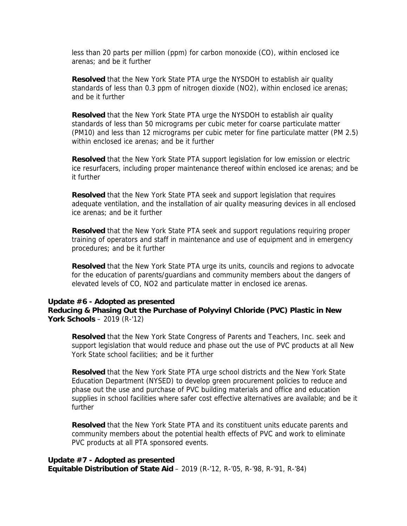less than 20 parts per million (ppm) for carbon monoxide (CO), within enclosed ice arenas; and be it further

**Resolved** that the New York State PTA urge the NYSDOH to establish air quality standards of less than 0.3 ppm of nitrogen dioxide (NO2), within enclosed ice arenas; and be it further

**Resolved** that the New York State PTA urge the NYSDOH to establish air quality standards of less than 50 micrograms per cubic meter for coarse particulate matter (PM10) and less than 12 micrograms per cubic meter for fine particulate matter (PM 2.5) within enclosed ice arenas; and be it further

**Resolved** that the New York State PTA support legislation for low emission or electric ice resurfacers, including proper maintenance thereof within enclosed ice arenas; and be it further

**Resolved** that the New York State PTA seek and support legislation that requires adequate ventilation, and the installation of air quality measuring devices in all enclosed ice arenas; and be it further

**Resolved** that the New York State PTA seek and support regulations requiring proper training of operators and staff in maintenance and use of equipment and in emergency procedures; and be it further

**Resolved** that the New York State PTA urge its units, councils and regions to advocate for the education of parents/guardians and community members about the dangers of elevated levels of CO, NO2 and particulate matter in enclosed ice arenas.

#### **Update #6 - Adopted as presented**

**Reducing & Phasing Out the Purchase of Polyvinyl Chloride (PVC) Plastic in New York Schools** – 2019 (R-'12)

**Resolved** that the New York State Congress of Parents and Teachers, Inc. seek and support legislation that would reduce and phase out the use of PVC products at all New York State school facilities; and be it further

**Resolved** that the New York State PTA urge school districts and the New York State Education Department (NYSED) to develop green procurement policies to reduce and phase out the use and purchase of PVC building materials and office and education supplies in school facilities where safer cost effective alternatives are available; and be it further

**Resolved** that the New York State PTA and its constituent units educate parents and community members about the potential health effects of PVC and work to eliminate PVC products at all PTA sponsored events.

#### **Update #7 - Adopted as presented**

**Equitable Distribution of State Aid** – 2019 (R-'12, R-'05, R-'98, R-'91, R-'84)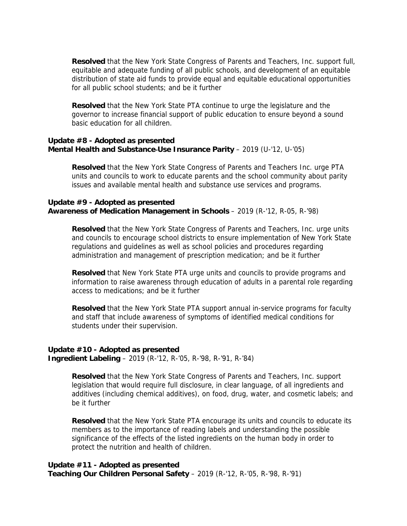**Resolved** that the New York State Congress of Parents and Teachers, Inc. support full, equitable and adequate funding of all public schools, and development of an equitable distribution of state aid funds to provide equal and equitable educational opportunities for all public school students; and be it further

**Resolved** that the New York State PTA continue to urge the legislature and the governor to increase financial support of public education to ensure beyond a sound basic education for all children.

## **Update #8 - Adopted as presented Mental Health and Substance-Use Insurance Parity - 2019 (U-'12, U-'05)**

**Resolved** that the New York State Congress of Parents and Teachers Inc. urge PTA units and councils to work to educate parents and the school community about parity issues and available mental health and substance use services and programs.

## **Update #9 - Adopted as presented Awareness of Medication Management in Schools** – 2019 (R-'12, R-05, R-'98)

**Resolved** that the New York State Congress of Parents and Teachers, Inc. urge units and councils to encourage school districts to ensure implementation of New York State regulations and guidelines as well as school policies and procedures regarding administration and management of prescription medication; and be it further

**Resolved** that New York State PTA urge units and councils to provide programs and information to raise awareness through education of adults in a parental role regarding access to medications; and be it further

**Resolved** that the New York State PTA support annual in-service programs for faculty and staff that include awareness of symptoms of identified medical conditions for students under their supervision.

#### **Update #10 - Adopted as presented Ingredient Labeling** – 2019 (R-'12, R-'05, R-'98, R-'91, R-'84)

**Resolved** that the New York State Congress of Parents and Teachers, Inc. support legislation that would require full disclosure, in clear language, of all ingredients and additives (including chemical additives), on food, drug, water, and cosmetic labels; and be it further

**Resolved** that the New York State PTA encourage its units and councils to educate its members as to the importance of reading labels and understanding the possible significance of the effects of the listed ingredients on the human body in order to protect the nutrition and health of children.

# **Update #11 - Adopted as presented Teaching Our Children Personal Safety** – 2019 (R-'12, R-'05, R-'98, R-'91)